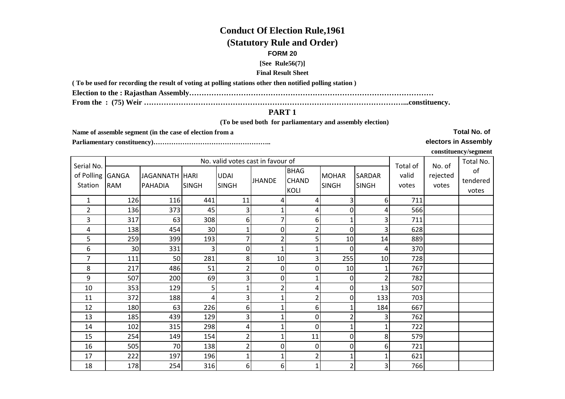# **Conduct Of Election Rule,1961**

## **(Statutory Rule and Order)**

### **FORM 20**

#### **[See Rule56(7)]**

## **Final Result Sheet**

**( To be used for recording the result of voting at polling stations other then notified polling station )**

**Election to the : Rajasthan Assembly………………………………………………………………………………………**

**From the : (75) Weir ……………………………………………………………………………………………...constituency.**

## **PART 1**

 **(To be used both for parliamentary and assembly election)** 

**Name of assemble segment (in the case of election from a** 

**Parliamentary constituency)……………………………………………..** 

**electors in Assembly**

**constituency/segment**

| Serial No.                  |            |                                  |              | No. valid votes cast in favour of |               |                                     |                              |                               | Total of       | No. of            | Total No.               |
|-----------------------------|------------|----------------------------------|--------------|-----------------------------------|---------------|-------------------------------------|------------------------------|-------------------------------|----------------|-------------------|-------------------------|
| of Polling GANGA<br>Station | <b>RAM</b> | JAGANNATH HARI<br><b>PAHADIA</b> | <b>SINGH</b> | <b>UDAI</b><br><b>SINGH</b>       | <b>JHANDE</b> | <b>BHAG</b><br><b>CHAND</b><br>KOLI | <b>MOHAR</b><br><b>SINGH</b> | <b>SARDAR</b><br><b>SINGH</b> | valid<br>votes | rejected<br>votes | of<br>tendered<br>votes |
| 1                           | 126        | 116                              | 441          | 11                                | 4             | 4                                   | 31                           | 6                             | 711            |                   |                         |
| $\overline{2}$              | 136        | 373                              | 45           | 3                                 |               | 4                                   | 0                            | 4                             | 566            |                   |                         |
| 3                           | 317        | 63                               | 308          | 6                                 |               | 6                                   |                              |                               | 711            |                   |                         |
| 4                           | 138        | 454                              | 30           |                                   | 0             | 2                                   | 0                            | 3                             | 628            |                   |                         |
| 5                           | 259        | 399                              | 193          |                                   |               | 5                                   | 10                           | 14                            | 889            |                   |                         |
| 6                           | 30         | 331                              | 3            | $\mathbf 0$                       |               |                                     | $\Omega$                     | 4                             | 370            |                   |                         |
| 7                           | 111        | 50                               | 281          | 8                                 | 10            | 3                                   | 255                          | 10                            | 728            |                   |                         |
| 8                           | 217        | 486                              | 51           |                                   | 0             | 0                                   | 10                           |                               | 767            |                   |                         |
| 9                           | 507        | 200                              | 69           | 3 <sub>1</sub>                    | 0             |                                     | 0                            |                               | 782            |                   |                         |
| 10                          | 353        | 129                              | 5            |                                   |               | 4                                   | $\overline{0}$               | 13                            | 507            |                   |                         |
| 11                          | 372        | 188                              | 4            | 3                                 |               | 2                                   | 0                            | 133                           | 703            |                   |                         |
| 12                          | 180        | 63                               | 226          | 6                                 |               | 6                                   | 1                            | 184                           | 667            |                   |                         |
| 13                          | 185        | 439                              | 129          | 3                                 |               | 0                                   | 2                            |                               | 762            |                   |                         |
| 14                          | 102        | 315                              | 298          | 4                                 |               | 0                                   |                              |                               | 722            |                   |                         |
| 15                          | 254        | 149                              | 154          |                                   |               | 11                                  | 0                            | 8                             | 579            |                   |                         |
| 16                          | 505        | 70                               | 138          |                                   | 0             | 0                                   | 0                            | 6                             | 721            |                   |                         |
| 17                          | 222        | 197                              | 196          |                                   |               | 2                                   |                              |                               | 621            |                   |                         |
| 18                          | 178        | 254                              | 316          | $6\vert$                          | 6             | 1                                   | 2                            | 3                             | 766            |                   |                         |

**Total No. of**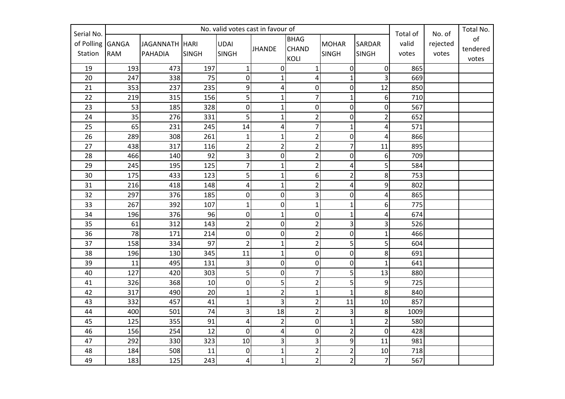|                                     | No. valid votes cast in favour of |                           |              |                             |                         |                                            |                              |                               |                | No. of<br>Total of |                         |
|-------------------------------------|-----------------------------------|---------------------------|--------------|-----------------------------|-------------------------|--------------------------------------------|------------------------------|-------------------------------|----------------|--------------------|-------------------------|
| Serial No.<br>of Polling<br>Station | <b>GANGA</b><br><b>RAM</b>        | JAGANNATH HARI<br>PAHADIA | <b>SINGH</b> | <b>UDAI</b><br><b>SINGH</b> | <b>JHANDE</b>           | <b>BHAG</b><br><b>CHAND</b><br><b>KOLI</b> | <b>MOHAR</b><br><b>SINGH</b> | <b>SARDAR</b><br><b>SINGH</b> | valid<br>votes | rejected<br>votes  | of<br>tendered<br>votes |
| 19                                  | 193                               | 473                       | 197          | $\mathbf{1}$                | $\mathbf 0$             | $\mathbf{1}$                               | $\mathbf 0$                  | $\overline{0}$                | 865            |                    |                         |
| 20                                  | 247                               | 338                       | 75           | $\mathbf 0$                 | $\mathbf{1}$            | 4                                          | $\mathbf{1}$                 | 3                             | 669            |                    |                         |
| 21                                  | 353                               | 237                       | 235          | 9                           | $\overline{4}$          | $\mathbf 0$                                | 0                            | 12                            | 850            |                    |                         |
| 22                                  | 219                               | 315                       | 156          | 5                           | $\mathbf 1$             | $\overline{7}$                             | $\overline{1}$               | 6                             | 710            |                    |                         |
| 23                                  | 53                                | 185                       | 328          | $\pmb{0}$                   | $\mathbf 1$             | $\mathbf 0$                                | $\boldsymbol{0}$             | $\overline{0}$                | 567            |                    |                         |
| 24                                  | 35                                | 276                       | 331          | 5                           | $\mathbf 1$             | $\overline{2}$                             | $\mathbf 0$                  | $\overline{2}$                | 652            |                    |                         |
| 25                                  | 65                                | 231                       | 245          | 14                          | $\overline{\mathbf{4}}$ | $\overline{7}$                             | $\mathbf{1}$                 | 4                             | 571            |                    |                         |
| 26                                  | 289                               | 308                       | 261          | $\mathbf{1}$                | $\mathbf 1$             | $\overline{2}$                             | $\mathbf 0$                  | 4                             | 866            |                    |                         |
| 27                                  | 438                               | 317                       | 116          | $\overline{2}$              | $\overline{2}$          | $\overline{2}$                             | $\overline{7}$               | 11                            | 895            |                    |                         |
| 28                                  | 466                               | 140                       | 92           | 3                           | $\pmb{0}$               | $\overline{2}$                             | $\boldsymbol{0}$             | 6 <sup>1</sup>                | 709            |                    |                         |
| 29                                  | 245                               | 195                       | 125          | 7                           | $\mathbf 1$             | $\overline{2}$                             | 4                            | 5 <sup>1</sup>                | 584            |                    |                         |
| 30                                  | 175                               | 433                       | 123          | 5                           | $\mathbf 1$             | 6                                          | $\overline{2}$               | 8                             | 753            |                    |                         |
| 31                                  | 216                               | 418                       | 148          | $\pmb{4}$                   | $\mathbf 1$             | $\overline{2}$                             | 4                            | 9                             | 802            |                    |                         |
| 32                                  | 297                               | 376                       | 185          | $\pmb{0}$                   | $\mathbf 0$             | 3                                          | 0                            | 4                             | 865            |                    |                         |
| 33                                  | 267                               | 392                       | 107          | $\mathbf{1}$                | $\pmb{0}$               | 1                                          | $\mathbf{1}$                 | 6 <sup>1</sup>                | 775            |                    |                         |
| 34                                  | 196                               | 376                       | 96           | $\pmb{0}$                   | $\mathbf 1$             | $\boldsymbol{0}$                           | $\mathbf{1}$                 | 4                             | 674            |                    |                         |
| 35                                  | 61                                | 312                       | 143          | $\overline{2}$              | $\mathbf 0$             | $\overline{2}$                             | 3                            | $\overline{3}$                | 526            |                    |                         |
| 36                                  | 78                                | 171                       | 214          | $\pmb{0}$                   | $\pmb{0}$               | $\overline{2}$                             | $\boldsymbol{0}$             | $\mathbf{1}$                  | 466            |                    |                         |
| 37                                  | 158                               | 334                       | 97           | $\overline{2}$              | $\mathbf 1$             | $\overline{2}$                             | 5                            | 5                             | 604            |                    |                         |
| 38                                  | 196                               | 130                       | 345          | 11                          | $\mathbf 1$             | $\boldsymbol{0}$                           | $\boldsymbol{0}$             | 8                             | 691            |                    |                         |
| 39                                  | 11                                | 495                       | 131          | 3                           | $\pmb{0}$               | $\mathbf 0$                                | 0                            | $\mathbf{1}$                  | 641            |                    |                         |
| 40                                  | 127                               | 420                       | 303          | 5                           | $\mathbf 0$             | $\overline{7}$                             | 5                            | 13                            | 880            |                    |                         |
| 41                                  | 326                               | 368                       | 10           | $\pmb{0}$                   | 5                       | $\overline{c}$                             | 5                            | 9                             | 725            |                    |                         |
| 42                                  | 317                               | 490                       | 20           | $\mathbf{1}$                | $\overline{2}$          | $\mathbf{1}$                               | $\mathbf{1}$                 | 8                             | 840            |                    |                         |
| 43                                  | 332                               | 457                       | 41           | $\mathbf{1}$                | 3                       | $\overline{2}$                             | 11                           | 10                            | 857            |                    |                         |
| 44                                  | 400                               | 501                       | 74           | 3                           | 18                      | $\overline{2}$                             | 3                            | 8                             | 1009           |                    |                         |
| 45                                  | 125                               | 355                       | 91           | $\pmb{4}$                   | $\overline{2}$          | $\mathbf 0$                                | $\mathbf{1}$                 | $\overline{2}$                | 580            |                    |                         |
| 46                                  | 156                               | 254                       | 12           | $\mathbf 0$                 | $\overline{\mathbf{4}}$ | $\mathbf 0$                                | $\overline{2}$               | $\overline{0}$                | 428            |                    |                         |
| 47                                  | 292                               | 330                       | 323          | 10                          | 3                       | 3                                          | 9                            | 11                            | 981            |                    |                         |
| 48                                  | 184                               | 508                       | 11           | $\pmb{0}$                   | $\mathbf 1$             | $\overline{c}$                             | $\overline{\mathbf{c}}$      | $10\,$                        | 718            |                    |                         |
| 49                                  | 183                               | 125                       | 243          | 4                           | $\mathbf{1}$            | $\overline{2}$                             | $\overline{2}$               | $\overline{7}$                | 567            |                    |                         |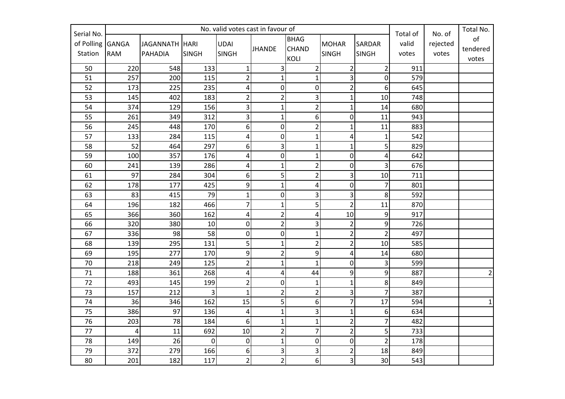| Serial No. | No. valid votes cast in favour of |                |                  |                  |                  |                         |                         |                 |       | Total No.<br>No. of<br>Total of |                |
|------------|-----------------------------------|----------------|------------------|------------------|------------------|-------------------------|-------------------------|-----------------|-------|---------------------------------|----------------|
| of Polling | <b>GANGA</b>                      | JAGANNATH HARI |                  | <b>UDAI</b>      |                  | <b>BHAG</b>             | <b>MOHAR</b>            | <b>SARDAR</b>   | valid | rejected                        | of             |
| Station    | <b>RAM</b>                        | <b>PAHADIA</b> | <b>SINGH</b>     | <b>SINGH</b>     | JHANDE           | <b>CHAND</b>            | <b>SINGH</b>            | <b>SINGH</b>    | votes | votes                           | tendered       |
|            |                                   |                |                  |                  |                  | <b>KOLI</b>             |                         |                 |       |                                 | votes          |
| 50         | 220                               | 548            | 133              | $\mathbf{1}$     | 3                | $\overline{2}$          | $\overline{2}$          | $\overline{2}$  | 911   |                                 |                |
| 51         | 257                               | 200            | 115              | $\overline{2}$   | $\mathbf{1}$     | $\mathbf{1}$            | 3                       | $\overline{0}$  | 579   |                                 |                |
| 52         | 173                               | 225            | 235              | 4                | 0                | $\mathbf 0$             | $\overline{\mathbf{c}}$ | 6               | 645   |                                 |                |
| 53         | 145                               | 402            | 183              | $\overline{2}$   | $\overline{2}$   | 3                       | $\mathbf{1}$            | 10              | 748   |                                 |                |
| 54         | 374                               | 129            | 156              | $\overline{3}$   | $\mathbf 1$      | $\mathbf 2$             | $\mathbf{1}$            | 14              | 680   |                                 |                |
| 55         | 261                               | 349            | 312              | $\overline{3}$   | $\mathbf 1$      | 6                       | $\mathbf 0$             | 11              | 943   |                                 |                |
| 56         | 245                               | 448            | 170              | $6 \overline{6}$ | $\boldsymbol{0}$ | $\mathbf 2$             | $\mathbf{1}$            | 11              | 883   |                                 |                |
| 57         | 133                               | 284            | 115              | 4                | $\boldsymbol{0}$ | $\mathbf{1}$            | 4                       | $\mathbf{1}$    | 542   |                                 |                |
| 58         | 52                                | 464            | 297              | 6                | 3                | $\mathbf 1$             | $\mathbf{1}$            | $\overline{5}$  | 829   |                                 |                |
| 59         | 100                               | 357            | 176              | 4                | $\boldsymbol{0}$ | $\mathbf{1}$            | $\mathbf 0$             | $\overline{4}$  | 642   |                                 |                |
| 60         | 241                               | 139            | 286              | 4                | $\mathbf{1}$     | $\overline{\mathbf{c}}$ | $\mathbf 0$             | 3               | 676   |                                 |                |
| 61         | 97                                | 284            | 304              | 6                | 5                | $\overline{2}$          | 3                       | 10              | 711   |                                 |                |
| 62         | 178                               | 177            | 425              | 9                | $\mathbf{1}$     | 4                       | $\boldsymbol{0}$        | $\overline{7}$  | 801   |                                 |                |
| 63         | 83                                | 415            | 79               | $\mathbf{1}$     | 0                | 3                       | 3                       | 8               | 592   |                                 |                |
| 64         | 196                               | 182            | 466              | $\overline{7}$   | $\mathbf 1$      | 5                       | $\overline{2}$          | 11              | 870   |                                 |                |
| 65         | 366                               | 360            | 162              | $\overline{a}$   | $\overline{2}$   | $\overline{4}$          | 10                      | 9               | 917   |                                 |                |
| 66         | 320                               | 380            | 10               | $\boldsymbol{0}$ | $\overline{2}$   | $\overline{\mathbf{3}}$ | $\overline{2}$          | 9               | 726   |                                 |                |
| 67         | 336                               | 98             | 58               | $\mathbf 0$      | 0                | $\mathbf{1}$            | $\overline{2}$          | $\overline{2}$  | 497   |                                 |                |
| 68         | 139                               | 295            | 131              | 5                | $\mathbf{1}$     | $\overline{c}$          | $\overline{2}$          | 10              | 585   |                                 |                |
| 69         | 195                               | 277            | 170              | $9\,$            | $\overline{2}$   | $\boldsymbol{9}$        | 4                       | $14\,$          | 680   |                                 |                |
| 70         | 218                               | 249            | 125              | $\overline{2}$   | $\mathbf{1}$     | $\mathbf{1}$            | 0                       | 3               | 599   |                                 |                |
| 71         | 188                               | 361            | 268              | 4                | 4                | 44                      | 9                       | 9               | 887   |                                 | $\overline{2}$ |
| 72         | 493                               | 145            | 199              | $\overline{2}$   | 0                | $\mathbf{1}$            | $\mathbf{1}$            | $\bf 8$         | 849   |                                 |                |
| 73         | 157                               | 212            | $\overline{3}$   | $\mathbf{1}$     | $\overline{2}$   | $\overline{2}$          | 3                       | $\overline{7}$  | 387   |                                 |                |
| 74         | 36                                | 346            | 162              | 15               | 5                | 6                       | $\overline{7}$          | 17              | 594   |                                 | $1\vert$       |
| 75         | 386                               | 97             | 136              | 4                | $\mathbf{1}$     | 3                       | $\mathbf{1}$            | 6               | 634   |                                 |                |
| 76         | 203                               | 78             | 184              | 6                | $\mathbf{1}$     | $\mathbf{1}$            | $\overline{c}$          | $\overline{7}$  | 482   |                                 |                |
| 77         | $\overline{4}$                    | 11             | 692              | 10               | $\overline{2}$   | $\overline{7}$          | $\overline{2}$          | 5               | 733   |                                 |                |
| 78         | 149                               | 26             | $\boldsymbol{0}$ | $\pmb{0}$        | $\mathbf 1$      | $\pmb{0}$               | $\pmb{0}$               | $\overline{2}$  | 178   |                                 |                |
| 79         | 372                               | 279            | 166              | $6 \overline{6}$ | 3                | $\overline{\mathbf{3}}$ | 2                       | 18              | 849   |                                 |                |
| 80         | 201                               | 182            | 117              | $\overline{2}$   | $\overline{2}$   | $\boldsymbol{6}$        | 3                       | 30 <sup>°</sup> | 543   |                                 |                |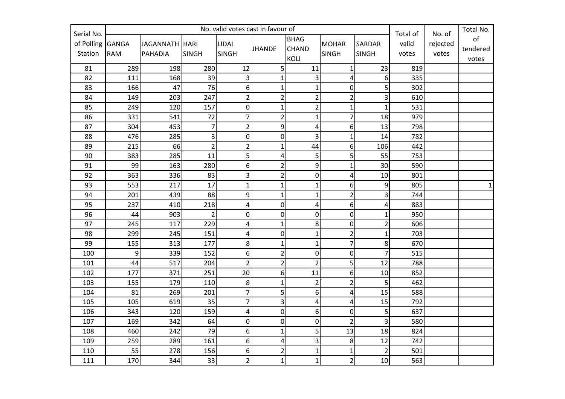| Serial No. | No. valid votes cast in favour of |                |                         |                         |                         |                         |                |                | Total of<br>No. of |          | Total No.    |
|------------|-----------------------------------|----------------|-------------------------|-------------------------|-------------------------|-------------------------|----------------|----------------|--------------------|----------|--------------|
| of Polling | <b>GANGA</b>                      | JAGANNATH HARI |                         | <b>UDAI</b>             |                         | <b>BHAG</b>             | <b>MOHAR</b>   | <b>SARDAR</b>  | valid              | rejected | of           |
| Station    | <b>RAM</b>                        | <b>PAHADIA</b> | <b>SINGH</b>            | <b>SINGH</b>            | <b>JHANDE</b>           | <b>CHAND</b>            | <b>SINGH</b>   | <b>SINGH</b>   | votes              | votes    | tendered     |
|            |                                   |                |                         |                         |                         | <b>KOLI</b>             |                |                |                    |          | votes        |
| 81         | 289                               | 198            | 280                     | 12                      | 5 <sup>1</sup>          | 11                      | $\mathbf{1}$   | 23             | 819                |          |              |
| 82         | 111                               | 168            | 39                      | $\overline{3}$          | $\mathbf{1}$            | 3                       | 4              | 6              | 335                |          |              |
| 83         | 166                               | 47             | 76                      | 6                       | $\mathbf{1}$            | $\mathbf{1}$            | 0              | 5              | 302                |          |              |
| 84         | 149                               | 203            | 247                     | $\overline{2}$          | $\overline{2}$          | $\overline{2}$          | $\overline{c}$ | 3              | 610                |          |              |
| 85         | 249                               | 120            | 157                     | $\pmb{0}$               | $\mathbf 1$             | $\overline{2}$          | $\mathbf{1}$   | $\mathbf{1}$   | 531                |          |              |
| 86         | 331                               | 541            | 72                      | $\overline{7}$          | $\overline{2}$          | $\mathbf{1}$            | $\overline{7}$ | 18             | 979                |          |              |
| 87         | 304                               | 453            | 7                       | $\overline{2}$          | 9                       | $\overline{\mathbf{r}}$ | 6              | 13             | 798                |          |              |
| 88         | 476                               | 285            | $\overline{\mathbf{3}}$ | $\mathbf 0$             | $\mathbf 0$             | 3                       | $\overline{1}$ | 14             | 782                |          |              |
| 89         | 215                               | 66             | $\overline{2}$          | $\overline{2}$          | $\mathbf{1}$            | 44                      | 6              | 106            | 442                |          |              |
| 90         | 383                               | 285            | 11                      | 5                       | $\overline{\mathbf{4}}$ | 5                       | 5              | 55             | 753                |          |              |
| 91         | 99                                | 163            | 280                     | $6 \overline{6}$        | $\overline{2}$          | 9                       | $\mathbf{1}$   | 30             | 590                |          |              |
| 92         | 363                               | 336            | 83                      | 3                       | $\overline{2}$          | $\boldsymbol{0}$        | 4              | 10             | 801                |          |              |
| 93         | 553                               | 217            | 17                      | $\mathbf{1}$            | $\mathbf 1$             | $\mathbf 1$             | 6              | 9              | 805                |          | $\mathbf{1}$ |
| 94         | 201                               | 439            | 88                      | $\overline{9}$          | $\mathbf{1}$            | $\mathbf 1$             | $\overline{2}$ | 3              | 744                |          |              |
| 95         | 237                               | 410            | 218                     | 4                       | $\mathbf 0$             | 4                       | 6              | 4              | 883                |          |              |
| 96         | 44                                | 903            | $\overline{2}$          | $\mathbf 0$             | $\mathbf 0$             | $\mathbf 0$             | 0              | $\mathbf{1}$   | 950                |          |              |
| 97         | 245                               | 117            | 229                     | $\overline{\mathbf{r}}$ | $\mathbf{1}$            | 8                       | 0              | $\overline{2}$ | 606                |          |              |
| 98         | 299                               | 245            | 151                     | 4                       | $\mathbf 0$             | $\mathbf{1}$            | $\overline{2}$ | $\mathbf{1}$   | 703                |          |              |
| 99         | 155                               | 313            | 177                     | 8                       | $\mathbf{1}$            | $\mathbf{1}$            | $\overline{7}$ | 8              | 670                |          |              |
| 100        | 9                                 | 339            | 152                     | 6                       | $\overline{2}$          | $\boldsymbol{0}$        | 0              | $\overline{7}$ | 515                |          |              |
| 101        | 44                                | 517            | 204                     | $\overline{2}$          | $\overline{2}$          | $\overline{2}$          | 5              | 12             | 788                |          |              |
| 102        | 177                               | 371            | 251                     | 20                      | 6                       | 11                      | 6              | 10             | 852                |          |              |
| 103        | 155                               | 179            | 110                     | $\,8\,$                 | $\mathbf{1}$            | $\overline{2}$          | $\overline{c}$ | 5              | 462                |          |              |
| 104        | 81                                | 269            | 201                     | $\overline{7}$          | 5                       | 6                       | 4              | 15             | 588                |          |              |
| 105        | 105                               | 619            | 35                      | $\overline{7}$          | 3                       | 4                       | 4              | 15             | 792                |          |              |
| 106        | 343                               | 120            | 159                     | 4                       | $\mathbf 0$             | 6                       | 0              | 5              | 637                |          |              |
| 107        | 169                               | 342            | 64                      | $\pmb{0}$               | $\mathbf 0$             | $\boldsymbol{0}$        | $\overline{2}$ | 3              | 580                |          |              |
| 108        | 460                               | 242            | 79                      | $6 \overline{6}$        | $\mathbf{1}$            | 5                       | 13             | 18             | 824                |          |              |
| 109        | 259                               | 289            | 161                     | $\boldsymbol{6}$        | $\pmb{4}$               | 3                       | 8              | 12             | 742                |          |              |
| 110        | 55                                | 278            | 156                     | 6                       | $\overline{\mathbf{c}}$ | $\mathbf 1$             | $\mathbf 1$    | $\overline{2}$ | 501                |          |              |
| 111        | 170                               | 344            | 33                      | $\overline{2}$          | $\mathbf{1}$            | $\mathbf{1}$            | $\overline{2}$ | 10             | 563                |          |              |